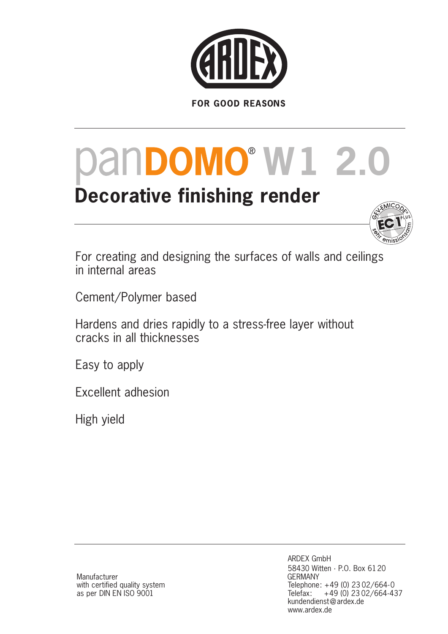

# **PanDOMO® W1 2.0**

# **Decorative finishing render**



For creating and designing the surfaces of walls and ceilings in internal areas

Cement/Polymer based

Hardens and dries rapidly to a stress-free layer without cracks in all thicknesses

Easy to apply

Excellent adhesion

High yield

Manufacturer with certified quality system as per DIN EN ISO 9001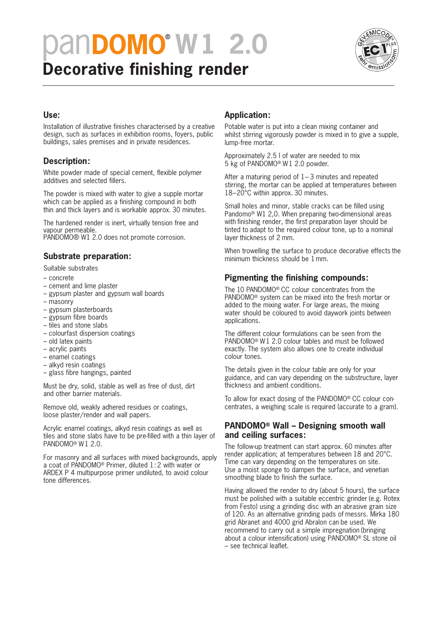# **Decorative finishing render PanDOMO® W1 2.0**



#### **Use:**

Installation of illustrative finishes characterised by a creative design, such as surfaces in exhibition rooms, foyers, public buildings, sales premises and in private residences.

## **Description:**

White powder made of special cement, flexible polymer additives and selected fillers.

The powder is mixed with water to give a supple mortar which can be applied as a finishing compound in both thin and thick layers and is workable approx. 30 minutes.

The hardened render is inert, virtually tension free and vapour permeable.

PANDOMO® W1 2.0 does not promote corrosion.

## **Substrate preparation:**

Suitable substrates

- concrete
- cement and lime plaster
- gypsum plaster and gypsum wall boards
- masonry
- gypsum plasterboards
- gypsum fibre boards
- tiles and stone slabs
- colourfast dispersion coatings
- old latex paints
- acrylic paints
- enamel coatings
- alkyd resin coatings
- glass fibre hangings, painted

Must be dry, solid, stable as well as free of dust, dirt and other barrier materials.

Remove old, weakly adhered residues or coatings, loose plaster/render and wall papers.

Acrylic enamel coatings, alkyd resin coatings as well as tiles and stone slabs have to be pre-filled with a thin layer of PANDOMO® W1 2.0.

For masonry and all surfaces with mixed backgrounds, apply a coat of PANDOMO® Primer, diluted 1: 2 with water or ARDEX P 4 multipurpose primer undiluted, to avoid colour tone differences.

## **Application:**

Potable water is put into a clean mixing container and whilst stirring vigorously powder is mixed in to give a supple, lump-free mortar.

Approximately 2.5 l of water are needed to mix 5 kg of PANDOMO® W1 2.0 powder.

After a maturing period of 1– 3 minutes and repeated stirring, the mortar can be applied at temperatures between 18–20°C within approx. 30 minutes.

Small holes and minor, stable cracks can be filled using Pandomo® W1 2,0. When preparing two-dimensional areas with finishing render, the first preparation layer should be tinted to adapt to the required colour tone, up to a nominal layer thickness of 2 mm.

When trowelling the surface to produce decorative effects the minimum thickness should be 1mm.

## **Pigmenting the finishing compounds:**

The 10 PANDOMO® CC colour concentrates from the PANDOMO® system can be mixed into the fresh mortar or added to the mixing water. For large areas, the mixing water should be coloured to avoid daywork joints between applications.

The different colour formulations can be seen from the PANDOMO® W1 2.0 colour tables and must be followed exactly. The system also allows one to create individual colour tones.

The details given in the colour table are only for your guidance, and can vary depending on the substructure, layer thickness and ambient conditions.

To allow for exact dosing of the PANDOMO® CC colour concentrates, a weighing scale is required (accurate to a gram).

## **PANDOMO® Wall – Designing smooth wall and ceiling surfaces:**

The follow-up treatment can start approx. 60 minutes after render application; at temperatures between 18 and 20°C. Time can vary depending on the temperatures on site. Use a moist sponge to dampen the surface, and venetian smoothing blade to finish the surface.

Having allowed the render to dry (about 5 hours), the surface must be polished with a suitable eccentric grinder (e.g. Rotex from Festo) using a grinding disc with an abrasive grain size of 120. As an alternative grinding pads of messrs. Mirka 180 grid Abranet and 4000 grid Abralon can be used. We recommend to carry out a simple impregnation (bringing about a colour intensification) using PANDOMO® SL stone oil – see technical leaflet.